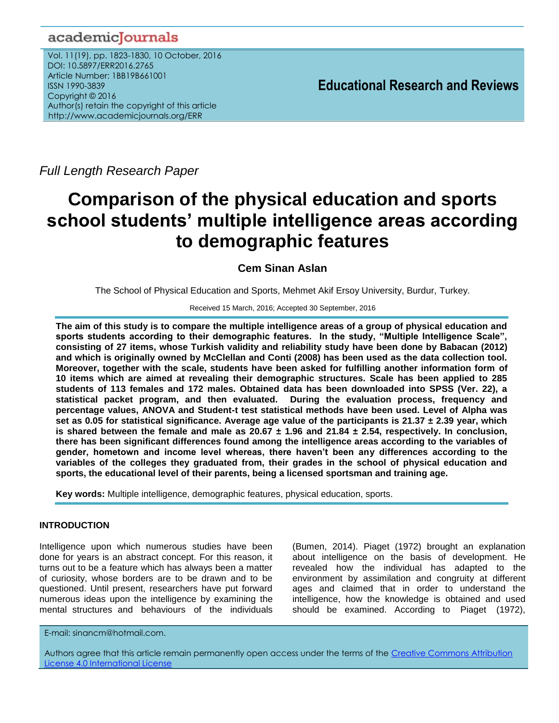# academicJournals

Vol. 11(19), pp. 1823-1830, 10 October, 2016 DOI: 10.5897/ERR2016.2765 Article Number: 1BB19B661001 ISSN 1990-3839 Copyright © 2016 Author(s) retain the copyright of this article http://www.academicjournals.org/ERR

**Educational Research and Reviews**

*Full Length Research Paper*

# **Comparison of the physical education and sports school students' multiple intelligence areas according to demographic features**

# **Cem Sinan Aslan**

The School of Physical Education and Sports, Mehmet Akif Ersoy University, Burdur, Turkey.

#### Received 15 March, 2016; Accepted 30 September, 2016

**The aim of this study is to compare the multiple intelligence areas of a group of physical education and sports students according to their demographic features. In the study, "Multiple Intelligence Scale", consisting of 27 items, whose Turkish validity and reliability study have been done by Babacan (2012) and which is originally owned by McClellan and Conti (2008) has been used as the data collection tool. Moreover, together with the scale, students have been asked for fulfilling another information form of 10 items which are aimed at revealing their demographic structures. Scale has been applied to 285 students of 113 females and 172 males. Obtained data has been downloaded into SPSS (Ver. 22), a statistical packet program, and then evaluated. During the evaluation process, frequency and percentage values, ANOVA and Student-t test statistical methods have been used. Level of Alpha was set as 0.05 for statistical significance. Average age value of the participants is 21.37 ± 2.39 year, which**  is shared between the female and male as  $20.67 \pm 1.96$  and  $21.84 \pm 2.54$ , respectively. In conclusion, **there has been significant differences found among the intelligence areas according to the variables of gender, hometown and income level whereas, there haven't been any differences according to the variables of the colleges they graduated from, their grades in the school of physical education and sports, the educational level of their parents, being a licensed sportsman and training age.** 

**Key words:** Multiple intelligence, demographic features, physical education, sports.

# **INTRODUCTION**

Intelligence upon which numerous studies have been done for years is an abstract concept. For this reason, it turns out to be a feature which has always been a matter of curiosity, whose borders are to be drawn and to be questioned. Until present, researchers have put forward numerous ideas upon the intelligence by examining the mental structures and behaviours of the individuals (Bumen, 2014). Piaget (1972) brought an explanation about intelligence on the basis of development. He revealed how the individual has adapted to the environment by assimilation and congruity at different ages and claimed that in order to understand the intelligence, how the knowledge is obtained and used should be examined. According to Piaget (1972),

E-mail: sinancm@hotmail.com.

Authors agree that this article remain permanently open access under the terms of the Creative Commons Attribution [License 4.0 International License](file://192.168.1.24/reading/Arts%20and%20Education/ERR/2014/sept/read/Correction%20Pdf%201/ERR-17.04.14-1816/Publication/Creative%20Co)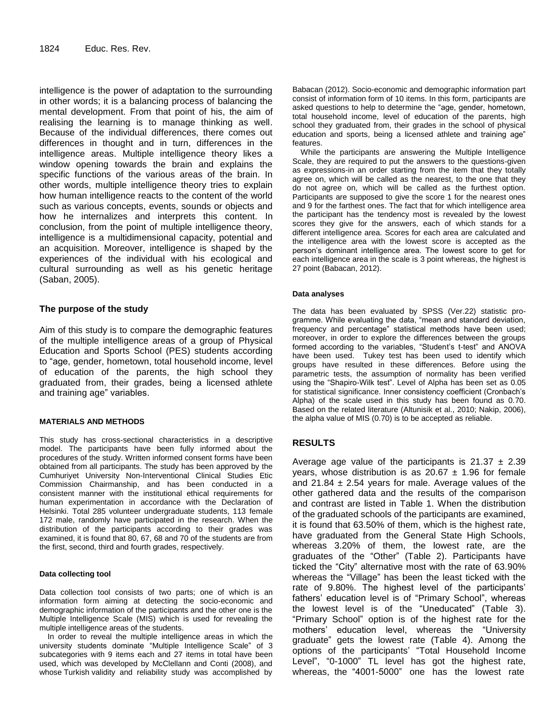intelligence is the power of adaptation to the surrounding in other words; it is a balancing process of balancing the mental development. From that point of his, the aim of realising the learning is to manage thinking as well. Because of the individual differences, there comes out differences in thought and in turn, differences in the intelligence areas. Multiple intelligence theory likes a window opening towards the brain and explains the specific functions of the various areas of the brain. In other words, multiple intelligence theory tries to explain how human intelligence reacts to the content of the world such as various concepts, events, sounds or objects and how he internalizes and interprets this content. In conclusion, from the point of multiple intelligence theory, intelligence is a multidimensional capacity, potential and an acquisition. Moreover, intelligence is shaped by the experiences of the individual with his ecological and cultural surrounding as well as his genetic heritage (Saban, 2005).

### **The purpose of the study**

Aim of this study is to compare the demographic features of the multiple intelligence areas of a group of Physical Education and Sports School (PES) students according to "age, gender, hometown, total household income, level of education of the parents, the high school they graduated from, their grades, being a licensed athlete and training age" variables.

#### **MATERIALS AND METHODS**

This study has cross-sectional characteristics in a descriptive model. The participants have been fully informed about the procedures of the study. Written informed consent forms have been obtained from all participants. The study has been approved by the Cumhuriyet University Non-Interventional Clinical Studies Etic Commission Chairmanship, and has been conducted in a consistent manner with the institutional ethical requirements for human experimentation in accordance with the Declaration of Helsinki. Total 285 volunteer undergraduate students, 113 female 172 male, randomly have participated in the research. When the distribution of the participants according to their grades was examined, it is found that 80, 67, 68 and 70 of the students are from the first, second, third and fourth grades, respectively.

#### **Data collecting tool**

Data collection tool consists of two parts; one of which is an information form aiming at detecting the socio-economic and demographic information of the participants and the other one is the Multiple Intelligence Scale (MIS) which is used for revealing the multiple intelligence areas of the students.

In order to reveal the multiple intelligence areas in which the university students dominate "Multiple Intelligence Scale" of 3 subcategories with 9 items each and 27 items in total have been used, which was developed by McClellann and Conti (2008), and whose Turkish validity and reliability study was accomplished by Babacan (2012). Socio-economic and demographic information part consist of information form of 10 items. In this form, participants are asked questions to help to determine the "age, gender, hometown, total household income, level of education of the parents, high school they graduated from, their grades in the school of physical education and sports, being a licensed athlete and training age" features.

While the participants are answering the Multiple Intelligence Scale, they are required to put the answers to the questions-given as expressions-in an order starting from the item that they totally agree on, which will be called as the nearest, to the one that they do not agree on, which will be called as the furthest option. Participants are supposed to give the score 1 for the nearest ones and 9 for the farthest ones. The fact that for which intelligence area the participant has the tendency most is revealed by the lowest scores they give for the answers, each of which stands for a different intelligence area. Scores for each area are calculated and the intelligence area with the lowest score is accepted as the person's dominant intelligence area. The lowest score to get for each intelligence area in the scale is 3 point whereas, the highest is 27 point (Babacan, 2012).

#### **Data analyses**

The data has been evaluated by SPSS (Ver.22) statistic programme. While evaluating the data, "mean and standard deviation, frequency and percentage" statistical methods have been used; moreover, in order to explore the differences between the groups formed according to the variables, "Student's t-test" and ANOVA have been used. Tukey test has been used to identify which groups have resulted in these differences. Before using the parametric tests, the assumption of normality has been verified using the "Shapiro-Wilk test". Level of Alpha has been set as 0.05 for statistical significance. Inner consistency coefficient (Cronbach's Alpha) of the scale used in this study has been found as 0.70. Based on the related literature (Altunisik et al., 2010; Nakip, 2006), the alpha value of MIS (0.70) is to be accepted as reliable.

# **RESULTS**

Average age value of the participants is  $21.37 \pm 2.39$ years, whose distribution is as 20.67  $\pm$  1.96 for female and 21.84  $\pm$  2.54 years for male. Average values of the other gathered data and the results of the comparison and contrast are listed in Table 1. When the distribution of the graduated schools of the participants are examined, it is found that 63.50% of them, which is the highest rate, have graduated from the General State High Schools, whereas 3.20% of them, the lowest rate, are the graduates of the "Other" (Table 2). Participants have ticked the "City" alternative most with the rate of 63.90% whereas the "Village" has been the least ticked with the rate of 9.80%. The highest level of the participants' fathers' education level is of "Primary School", whereas the lowest level is of the "Uneducated" (Table 3). "Primary School" option is of the highest rate for the mothers' education level, whereas the "University graduate" gets the lowest rate (Table 4). Among the options of the participants' "Total Household Income Level", "0-1000" TL level has got the highest rate, whereas, the "4001-5000" one has the lowest rate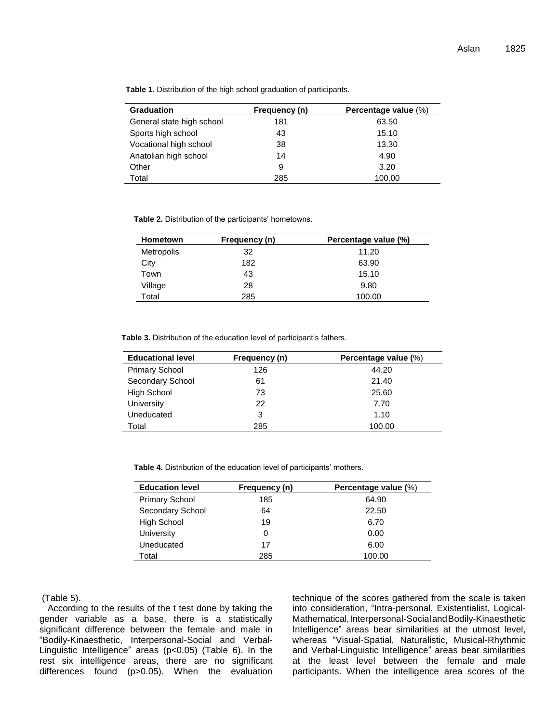| Table 1. Distribution of the high school graduation of participants. |  |
|----------------------------------------------------------------------|--|
|----------------------------------------------------------------------|--|

| <b>Graduation</b>         | Frequency (n) | Percentage value (%) |
|---------------------------|---------------|----------------------|
| General state high school | 181           | 63.50                |
| Sports high school        | 43            | 15.10                |
| Vocational high school    | 38            | 13.30                |
| Anatolian high school     | 14            | 4.90                 |
| Other                     | 9             | 3.20                 |
| Total                     | 285           | 100.00               |

**Table 2.** Distribution of the participants' hometowns.

| Hometown   | Frequency (n) | Percentage value (%) |
|------------|---------------|----------------------|
| Metropolis | 32            | 11.20                |
| City       | 182           | 63.90                |
| Town       | 43            | 15.10                |
| Village    | 28            | 9.80                 |
| Total      | 285           | 100.00               |

**Table 3.** Distribution of the education level of participant's fathers.

| <b>Educational level</b> | Frequency (n) | Percentage value (%) |
|--------------------------|---------------|----------------------|
| <b>Primary School</b>    | 126           | 44.20                |
| Secondary School         | 61            | 21.40                |
| <b>High School</b>       | 73            | 25.60                |
| University               | 22            | 7.70                 |
| Uneducated               | 3             | 1.10                 |
| Total                    | 285           | 100.00               |

**Table 4.** Distribution of the education level of participants' mothers.

| <b>Education level</b> | Frequency (n) | Percentage value (%) |
|------------------------|---------------|----------------------|
| <b>Primary School</b>  | 185           | 64.90                |
| Secondary School       | 64            | 22.50                |
| High School            | 19            | 6.70                 |
| University             | 0             | 0.00                 |
| Uneducated             | 17            | 6.00                 |
| Total                  | 285           | 100.00               |

(Table 5).

According to the results of the t test done by taking the gender variable as a base, there is a statistically significant difference between the female and male in "Bodily-Kinaesthetic, Interpersonal-Social and Verbal-Linguistic Intelligence" areas (p<0.05) (Table 6). In the rest six intelligence areas, there are no significant differences found (p>0.05). When the evaluation

technique of the scores gathered from the scale is taken into consideration, "Intra-personal, Existentialist, Logical-Mathematical, Interpersonal-Social and Bodily-Kinaesthetic Intelligence" areas bear similarities at the utmost level, whereas "Visual-Spatial, Naturalistic, Musical-Rhythmic and Verbal-Linguistic Intelligence" areas bear similarities at the least level between the female and male participants. When the intelligence area scores of the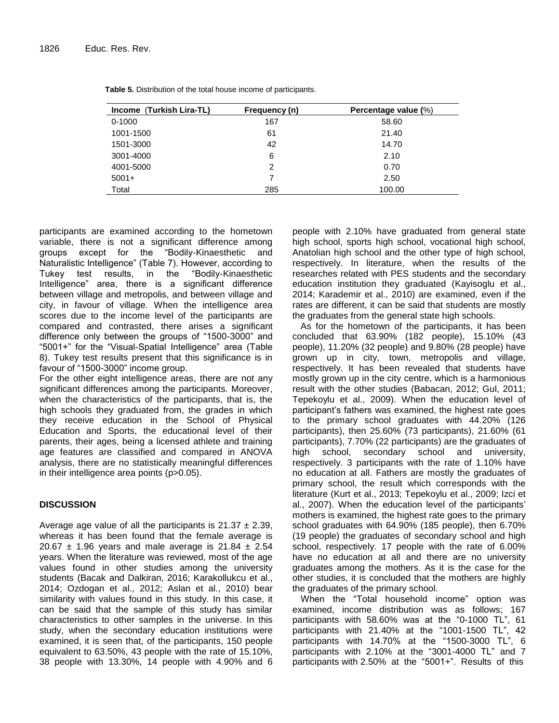| Income (Turkish Lira-TL) | Frequency (n) | Percentage value (%) |
|--------------------------|---------------|----------------------|
| $0 - 1000$               | 167           | 58.60                |
| 1001-1500                | 61            | 21.40                |
| 1501-3000                | 42            | 14.70                |
| 3001-4000                | 6             | 2.10                 |
| 4001-5000                | 2             | 0.70                 |
| $5001+$                  | 7             | 2.50                 |
| Total                    | 285           | 100.00               |

**Table 5.** Distribution of the total house income of participants.

participants are examined according to the hometown variable, there is not a significant difference among groups except for the "Bodily-Kinaesthetic and Naturalistic Intelligence" (Table 7). However, according to Tukey test results, in the "Bodily-Kinaesthetic Intelligence" area, there is a significant difference between village and metropolis, and between village and city, in favour of village. When the intelligence area scores due to the income level of the participants are compared and contrasted, there arises a significant difference only between the groups of "1500-3000" and "5001+" for the "Visual-Spatial Intelligence" area (Table 8). Tukey test results present that this significance is in favour of "1500-3000" income group.

For the other eight intelligence areas, there are not any significant differences among the participants. Moreover, when the characteristics of the participants, that is, the high schools they graduated from, the grades in which they receive education in the School of Physical Education and Sports, the educational level of their parents, their ages, being a licensed athlete and training age features are classified and compared in ANOVA analysis, there are no statistically meaningful differences in their intelligence area points (p>0.05).

# **DISCUSSION**

Average age value of all the participants is  $21.37 \pm 2.39$ , whereas it has been found that the female average is 20.67  $\pm$  1.96 years and male average is 21.84  $\pm$  2.54 years. When the literature was reviewed, most of the age values found in other studies among the university students (Bacak and Dalkiran, 2016; Karakollukcu et al., 2014; Ozdogan et al., 2012; Aslan et al., 2010) bear similarity with values found in this study. In this case, it can be said that the sample of this study has similar characteristics to other samples in the universe. In this study, when the secondary education institutions were examined, it is seen that, of the participants, 150 people equivalent to 63.50%, 43 people with the rate of 15.10%, 38 people with 13.30%, 14 people with 4.90% and 6 people with 2.10% have graduated from general state high school, sports high school, vocational high school, Anatolian high school and the other type of high school, respectively. In literature, when the results of the researches related with PES students and the secondary education institution they graduated (Kayisoglu et al., 2014; Karademir et al., 2010) are examined, even if the rates are different, it can be said that students are mostly the graduates from the general state high schools.

As for the hometown of the participants, it has been concluded that 63.90% (182 people), 15.10% (43 people), 11.20% (32 people) and 9.80% (28 people) have grown up in city, town, metropolis and village, respectively. It has been revealed that students have mostly grown up in the city centre, which is a harmonious result with the other studies (Babacan, 2012; Gul, 2011; Tepekoylu et al., 2009). When the education level of participant's fathers was examined, the highest rate goes to the primary school graduates with 44.20% (126 participants), then 25.60% (73 participants), 21.60% (61 participants), 7.70% (22 participants) are the graduates of high school, secondary school and university, respectively. 3 participants with the rate of 1.10% have no education at all. Fathers are mostly the graduates of primary school, the result which corresponds with the literature (Kurt et al., 2013; Tepekoylu et al., 2009; Izci et al., 2007). When the education level of the participants' mothers is examined, the highest rate goes to the primary school graduates with 64.90% (185 people), then 6.70% (19 people) the graduates of secondary school and high school, respectively. 17 people with the rate of 6.00% have no education at all and there are no university graduates among the mothers. As it is the case for the other studies, it is concluded that the mothers are highly the graduates of the primary school.

When the "Total household income" option was examined, income distribution was as follows; 167 participants with 58.60% was at the "0-1000 TL", 61 participants with 21.40% at the "1001-1500 TL", 42 participants with 14.70% at the "1500-3000 TL", 6 participants with 2.10% at the "3001-4000 TL" and 7 participants with 2.50% at the "5001+". Results of this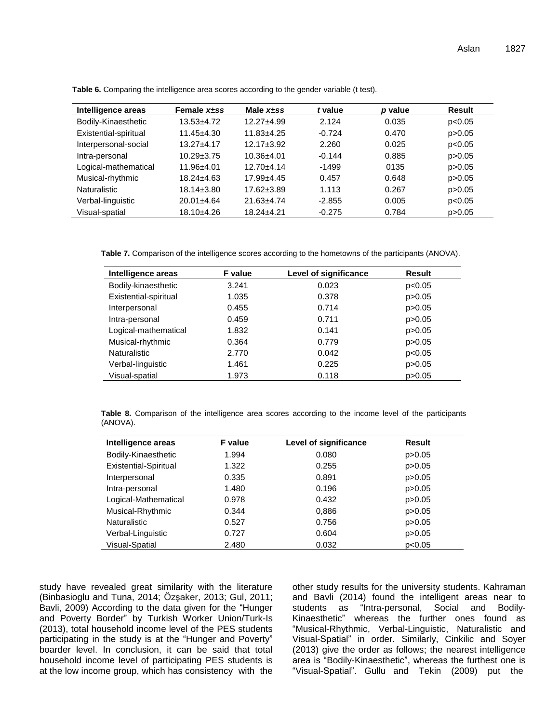| Intelligence areas    | Female $x\pm ss$ | Male $x\pm ss$   | t value  | p value | <b>Result</b> |
|-----------------------|------------------|------------------|----------|---------|---------------|
| Bodily-Kinaesthetic   | $13.53 + 4.72$   | $12.27 + 4.99$   | 2.124    | 0.035   | p<0.05        |
| Existential-spiritual | $11.45 \pm 4.30$ | $11.83 + 4.25$   | $-0.724$ | 0.470   | p > 0.05      |
| Interpersonal-social  | $13.27 + 4.17$   | $12.17 \pm 3.92$ | 2.260    | 0.025   | p<0.05        |
| Intra-personal        | $10.29 \pm 3.75$ | $10.36 + 4.01$   | $-0.144$ | 0.885   | p > 0.05      |
| Logical-mathematical  | $11.96 + 4.01$   | $12.70 + 4.14$   | $-1499$  | 0135    | p > 0.05      |
| Musical-rhythmic      | $18.24 \pm 4.63$ | $17.99 + 4.45$   | 0.457    | 0.648   | p > 0.05      |
| <b>Naturalistic</b>   | $18.14 \pm 3.80$ | $17.62 \pm 3.89$ | 1.113    | 0.267   | p > 0.05      |
| Verbal-linguistic     | $20.01 \pm 4.64$ | $21.63 + 4.74$   | $-2.855$ | 0.005   | p<0.05        |
| Visual-spatial        | 18.10±4.26       | $18.24 + 4.21$   | $-0.275$ | 0.784   | p > 0.05      |

Table 6. Comparing the intelligence area scores according to the gender variable (t test).

**Table 7.** Comparison of the intelligence scores according to the hometowns of the participants (ANOVA).

| Intelligence areas    | <b>F</b> value | Level of significance | <b>Result</b> |
|-----------------------|----------------|-----------------------|---------------|
| Bodily-kinaesthetic   | 3.241          | 0.023                 | p<0.05        |
| Existential-spiritual | 1.035          | 0.378                 | p > 0.05      |
| Interpersonal         | 0.455          | 0.714                 | p > 0.05      |
| Intra-personal        | 0.459          | 0.711                 | p > 0.05      |
| Logical-mathematical  | 1.832          | 0.141                 | p > 0.05      |
| Musical-rhythmic      | 0.364          | 0.779                 | p > 0.05      |
| <b>Naturalistic</b>   | 2.770          | 0.042                 | p<0.05        |
| Verbal-linguistic     | 1.461          | 0.225                 | p > 0.05      |
| Visual-spatial        | 1.973          | 0.118                 | p > 0.05      |

|          | <b>Table 8.</b> Comparison of the intelligence area scores according to the income level of the participants |  |  |  |  |  |  |  |
|----------|--------------------------------------------------------------------------------------------------------------|--|--|--|--|--|--|--|
| (ANOVA). |                                                                                                              |  |  |  |  |  |  |  |

| Intelligence areas    | <b>F</b> value | Level of significance | <b>Result</b> |
|-----------------------|----------------|-----------------------|---------------|
| Bodily-Kinaesthetic   | 1.994          | 0.080                 | p > 0.05      |
| Existential-Spiritual | 1.322          | 0.255                 | p > 0.05      |
| Interpersonal         | 0.335          | 0.891                 | p > 0.05      |
| Intra-personal        | 1.480          | 0.196                 | p > 0.05      |
| Logical-Mathematical  | 0.978          | 0.432                 | p > 0.05      |
| Musical-Rhythmic      | 0.344          | 0,886                 | p > 0.05      |
| <b>Naturalistic</b>   | 0.527          | 0.756                 | p > 0.05      |
| Verbal-Linguistic     | 0.727          | 0.604                 | p > 0.05      |
| Visual-Spatial        | 2.480          | 0.032                 | p<0.05        |

study have revealed great similarity with the literature (Binbasioglu and Tuna, 2014; Özşaker, 2013; Gul, 2011; Bavli, 2009) According to the data given for the "Hunger and Poverty Border" by Turkish Worker Union/Turk-Is (2013), total household income level of the PES students participating in the study is at the "Hunger and Poverty" boarder level. In conclusion, it can be said that total household income level of participating PES students is at the low income group, which has consistency with the other study results for the university students. Kahraman and Bavli (2014) found the intelligent areas near to students as "Intra-personal, Social and Bodily-Kinaesthetic" whereas the further ones found as "Musical-Rhythmic, Verbal-Linguistic, Naturalistic and Visual-Spatial" in order. Similarly, Cinkilic and Soyer (2013) give the order as follows; the nearest intelligence area is "Bodily-Kinaesthetic", whereas the furthest one is "Visual-Spatial". Gullu and Tekin (2009) put the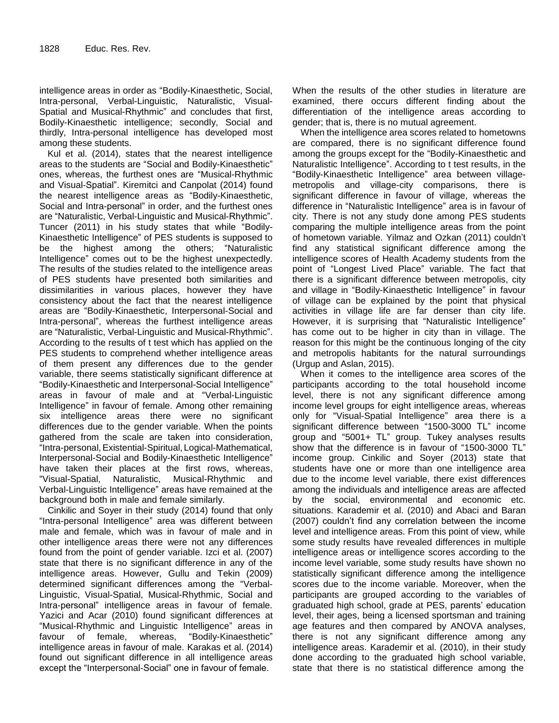intelligence areas in order as "Bodily-Kinaesthetic, Social, Intra-personal, Verbal-Linguistic, Naturalistic, Visual-Spatial and Musical-Rhythmic" and concludes that first, Bodily-Kinaesthetic intelligence; secondly, Social and thirdly, Intra-personal intelligence has developed most among these students.

Kul et al. (2014), states that the nearest intelligence areas to the students are "Social and Bodily-Kinaesthetic" ones, whereas, the furthest ones are "Musical-Rhythmic and Visual-Spatial". Kiremitci and Canpolat (2014) found the nearest intelligence areas as "Bodily-Kinaesthetic, Social and Intra-personal" in order, and the furthest ones are "Naturalistic, Verbal-Linguistic and Musical-Rhythmic". Tuncer (2011) in his study states that while "Bodily-Kinaesthetic Intelligence" of PES students is supposed to be the highest among the others; "Naturalistic Intelligence" comes out to be the highest unexpectedly. The results of the studies related to the intelligence areas of PES students have presented both similarities and dissimilarities in various places, however they have consistency about the fact that the nearest intelligence areas are "Bodily-Kinaesthetic, Interpersonal-Social and Intra-personal", whereas the furthest intelligence areas are "Naturalistic, Verbal-Linguistic and Musical-Rhythmic". According to the results of t test which has applied on the PES students to comprehend whether intelligence areas of them present any differences due to the gender variable, there seems statistically significant difference at "Bodily-Kinaesthetic and Interpersonal-Social Intelligence" areas in favour of male and at "Verbal-Linguistic Intelligence" in favour of female. Among other remaining six intelligence areas there were no significant differences due to the gender variable. When the points gathered from the scale are taken into consideration, "Intra-personal,Existential-Spiritual, Logical-Mathematical, Interpersonal-Social and Bodily-Kinaesthetic Intelligence" have taken their places at the first rows, whereas, "Visual-Spatial, Naturalistic, Musical-Rhythmic and Verbal-Linguistic Intelligence" areas have remained at the background both in male and female similarly.

Cinkilic and Soyer in their study (2014) found that only "Intra-personal Intelligence" area was different between male and female, which was in favour of male and in other intelligence areas there were not any differences found from the point of gender variable. Izci et al. (2007) state that there is no significant difference in any of the intelligence areas. However, Gullu and Tekin (2009) determined significant differences among the "Verbal-Linguistic, Visual-Spatial, Musical-Rhythmic, Social and Intra-personal" intelligence areas in favour of female. Yazici and Acar (2010) found significant differences at "Musical-Rhythmic and Linguistic Intelligence" areas in favour of female, whereas, "Bodily-Kinaesthetic" intelligence areas in favour of male. Karakas et al. (2014) found out significant difference in all intelligence areas except the "Interpersonal-Social" one in favour of female.

When the results of the other studies in literature are examined, there occurs different finding about the differentiation of the intelligence areas according to gender; that is, there is no mutual agreement.

When the intelligence area scores related to hometowns are compared, there is no significant difference found among the groups except for the "Bodily-Kinaesthetic and Naturalistic Intelligence". According to t test results, in the "Bodily-Kinaesthetic Intelligence" area between villagemetropolis and village-city comparisons, there is significant difference in favour of village, whereas the difference in "Naturalistic Intelligence" area is in favour of city. There is not any study done among PES students comparing the multiple intelligence areas from the point of hometown variable. Yilmaz and Ozkan (2011) couldn't find any statistical significant difference among the intelligence scores of Health Academy students from the point of "Longest Lived Place" variable. The fact that there is a significant difference between metropolis, city and village in "Bodily-Kinaesthetic Intelligence" in favour of village can be explained by the point that physical activities in village life are far denser than city life. However, it is surprising that "Naturalistic Intelligence" has come out to be higher in city than in village. The reason for this might be the continuous longing of the city and metropolis habitants for the natural surroundings (Urgup and Aslan, 2015).

When it comes to the intelligence area scores of the participants according to the total household income level, there is not any significant difference among income level groups for eight intelligence areas, whereas only for "Visual-Spatial Intelligence" area there is a significant difference between "1500-3000 TL" income group and "5001+ TL" group. Tukey analyses results show that the difference is in favour of "1500-3000 TL" income group. Cinkilic and Soyer (2013) state that students have one or more than one intelligence area due to the income level variable, there exist differences among the individuals and intelligence areas are affected by the social, environmental and economic etc. situations. Karademir et al. (2010) and Abaci and Baran (2007) couldn't find any correlation between the income level and intelligence areas. From this point of view, while some study results have revealed differences in multiple intelligence areas or intelligence scores according to the income level variable, some study results have shown no statistically significant difference among the intelligence scores due to the income variable. Moreover, when the participants are grouped according to the variables of graduated high school, grade at PES, parents' education level, their ages, being a licensed sportsman and training age features and then compared by ANOVA analyses, there is not any significant difference among any intelligence areas. Karademir et al. (2010), in their study done according to the graduated high school variable, state that there is no statistical difference among the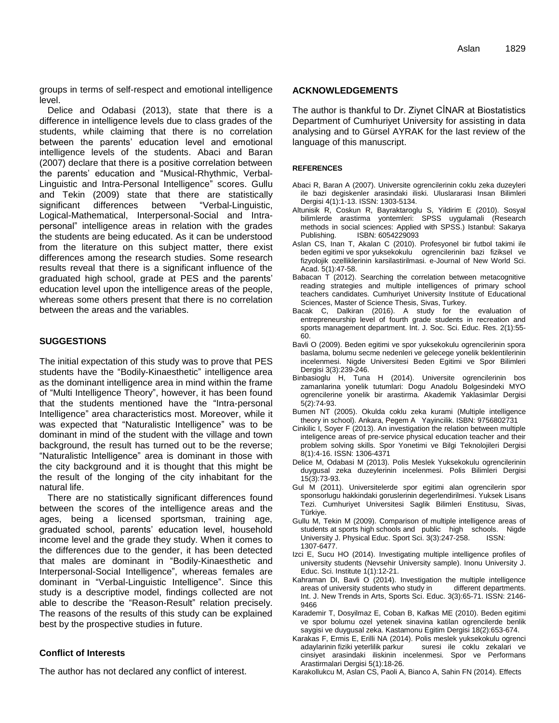groups in terms of self-respect and emotional intelligence level.

Delice and Odabasi (2013), state that there is a difference in intelligence levels due to class grades of the students, while claiming that there is no correlation between the parents' education level and emotional intelligence levels of the students. Abaci and Baran (2007) declare that there is a positive correlation between the parents' education and "Musical-Rhythmic, Verbal-Linguistic and Intra-Personal Intelligence" scores. Gullu and Tekin (2009) state that there are statistically significant differences between "Verbal-Linguistic, Logical-Mathematical, Interpersonal-Social and Intrapersonal" intelligence areas in relation with the grades the students are being educated. As it can be understood from the literature on this subject matter, there exist differences among the research studies. Some research results reveal that there is a significant influence of the graduated high school, grade at PES and the parents' education level upon the intelligence areas of the people, whereas some others present that there is no correlation between the areas and the variables.

# **SUGGESTIONS**

The initial expectation of this study was to prove that PES students have the "Bodily-Kinaesthetic" intelligence area as the dominant intelligence area in mind within the frame of "Multi Intelligence Theory", however, it has been found that the students mentioned have the "Intra-personal Intelligence" area characteristics most. Moreover, while it was expected that "Naturalistic Intelligence" was to be dominant in mind of the student with the village and town background, the result has turned out to be the reverse; "Naturalistic Intelligence" area is dominant in those with the city background and it is thought that this might be the result of the longing of the city inhabitant for the natural life.

There are no statistically significant differences found between the scores of the intelligence areas and the ages, being a licensed sportsman, training age, graduated school, parents' education level, household income level and the grade they study. When it comes to the differences due to the gender, it has been detected that males are dominant in "Bodily-Kinaesthetic and Interpersonal-Social Intelligence", whereas females are dominant in "Verbal-Linguistic Intelligence". Since this study is a descriptive model, findings collected are not able to describe the "Reason-Result" relation precisely. The reasons of the results of this study can be explained best by the prospective studies in future.

# **Conflict of Interests**

The author has not declared any conflict of interest.

## **ACKNOWLEDGEMENTS**

The author is thankful to Dr. Ziynet CİNAR at Biostatistics Department of Cumhuriyet University for assisting in data analysing and to Gürsel AYRAK for the last review of the language of this manuscript.

#### **REFERENCES**

- Abaci R, Baran A (2007). Universite ogrencilerinin coklu zeka duzeyleri ile bazi degiskenler arasindaki iliski. Uluslararasi Insan Bilimleri Dergisi 4(1):1-13. ISSN: 1303-5134.
- Altunisik R, Coskun R, Bayraktaroglu S, Yildirim E (2010). Sosyal bilimlerde arastirma yontemleri: SPSS uygulamali (Research methods in social sciences: Applied with SPSS.) Istanbul: Sakarya Publishing. ISBN: 6054229093
- Aslan CS, Inan T, Akalan C (2010). Profesyonel bir futbol takimi ile beden egitimi ve spor yuksekokulu ogrencilerinin bazi fiziksel ve fizyolojik ozelliklerinin karsilastirilmasi. e-Journal of New World Sci. Acad. 5(1):47-58.
- Babacan T (2012). Searching the correlation between metacognitive reading strategies and multiple intelligences of primary school teachers candidates. Cumhuriyet University Institute of Educational Sciences, Master of Science Thesis, Sivas, Turkey.
- Bacak C, Dalkiran (2016). A study for the evaluation of entrepreneurship level of fourth grade students in recreation and sports management department. Int. J. Soc. Sci. Educ. Res. 2(1):55- 60.
- Bavli O (2009). Beden egitimi ve spor yuksekokulu ogrencilerinin spora baslama, bolumu secme nedenleri ve gelecege yonelik beklentilerinin incelenmesi. Nigde Universitesi Beden Egitimi ve Spor Bilimleri Dergisi 3(3):239-246.
- Binbasioglu H, Tuna H (2014). Universite ogrencilerinin bos zamanlarina yonelik tutumlari: Dogu Anadolu Bolgesindeki MYO ogrencilerine yonelik bir arastirma. Akademik Yaklasimlar Dergisi 5(2):74-93.
- Bumen NT (2005). Okulda coklu zeka kurami (Multiple intelligence theory in school). Ankara, Pegem A Yayincilik. ISBN: 9756802731
- Cinkilic I, Soyer F (2013). An investigation the relation between multiple inteligence areas of pre-service physical education teacher and their problem solving skills. Spor Yonetimi ve Bilgi Teknolojileri Dergisi 8(1):4-16. ISSN: 1306-4371
- Delice M, Odabasi M (2013). Polis Meslek Yuksekokulu ogrencilerinin duygusal zeka duzeylerinin incelenmesi. Polis Bilimleri Dergisi 15(3):73-93.
- Gul M (2011). Universitelerde spor egitimi alan ogrencilerin spor sponsorlugu hakkindaki goruslerinin degerlendirilmesi. Yuksek Lisans Tezi. Cumhuriyet Universitesi Saglik Bilimleri Enstitusu, Sivas, Türkiye.
- Gullu M, Tekin M (2009). Comparison of multiple intelligence areas of students at sports high schools and public high schools. Nigde University J. Physical Educ. Sport Sci. 3(3):247-258. ISSN: 1307-6477.
- Izci E, Sucu HO (2014). Investigating multiple intelligence profiles of university students (Nevsehir University sample). Inonu University J. Educ. Sci. Institute 1(1):12-21.
- Kahraman DI, Bavli O (2014). Investigation the multiple intelligence areas of university students who study in different departments. Int. J. New Trends in Arts, Sports Sci. Educ. 3(3):65-71. ISSN: 2146- 9466
- Karademir T, Dosyilmaz E, Coban B, Kafkas ME (2010). Beden egitimi ve spor bolumu ozel yetenek sinavina katilan ogrencilerde benlik saygisi ve duygusal zeka. Kastamonu Egitim Dergisi 18(2):653-674.
- Karakas F, Ermis E, Erilli NA (2014). Polis meslek yuksekokulu ogrenci adaylarinin fiziki yeterlilik parkur suresi ile coklu zekalari ve cinsiyet arasindaki iliskinin incelenmesi. Spor ve Performans Arastirmalari Dergisi 5(1):18-26.
- Karakollukcu M, Aslan CS, Paoli A, Bianco A, Sahin FN (2014). Effects